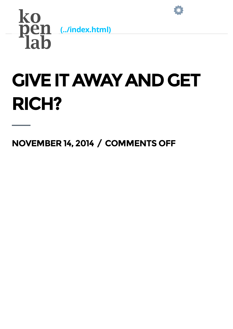



## **GIVE IT AWAY AND GET** RICH?

NOVEMBER 14, 2014 / COMMENTS OFF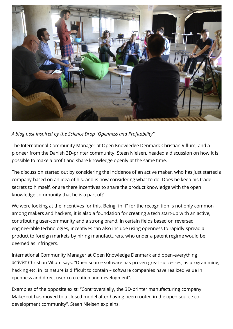

## A blog post inspired by the Science Drop "Openness and Profitability"

The International Community Manager at Open Knowledge Denmark Christian Villum, and a pioneer from the Danish 3D-printer community, Steen Nielsen, headed a discussion on how it is possible to make a profit and share knowledge openly at the same time.

The discussion started out by considering the incidence of an active maker, who has just started a company based on an idea of his, and is now considering what to do: Does he keep his trade secrets to himself, or are there incentives to share the product knowledge with the open knowledge community that he is a part of?

We were looking at the incentives for this. Being "in it" for the recognition is not only common among makers and hackers, it is also a foundation for creating a tech start-up with an active, contributing user-community and a strong brand. In certain fields based on reversed engineerable technologies, incentives can also include using openness to rapidly spread a product to foreign markets by hiring manufacturers, who under a patent regime would be deemed as infringers.

International Community Manager at Open Knowledge Denmark and open-everything activist Christian Villum says: "Open source software has proven great successes, as programming, hacking etc. in its nature is difficult to contain – software companies have realized value in openness and direct user co-creation and development".

Examples of the opposite exist: "Controversially, the 3D-printer manufacturing company Makerbot has moved to a closed model after having been rooted in the open source codevelopment community", Steen Nielsen explains.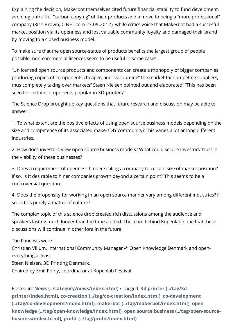Explaining the decision, Makerbot themselves cited future financial stability to fund develoment, avoiding unfruitful "carbon-copying" of their products and a move to being a "more professional" company (Rich Brown, C-NET.com 27.09.2012), while critics voice that Makerbot had a succesful market position via its openness and lost valuable community loyalty and damaged their brand by moving to a closed business model.

To make sure that the open source-status of products benefits the largest group of people possible, non-commercial licences seem to be useful in some cases:

"Unlicensed open source products and components can create a monopoly of bigger companies producing copies of components cheaper, and "vacuuming" the market for competing suppliers, thus completely taking over markets" Steen Nielsen pointed out and elaborated: "This has been seen for certain components popular in 3D-printers".

The Science Drop brought up key questions that future research and discussion may be able to answer:

1. To what extent are the positive effects of using open source business models depending on the size and competence of its associated maker/DIY community? This varies a lot among different industries.

2. How does investors view open source business models? What could secure investors' trust in the viability of these businesses?

3. Does a requirement of openness hinder scaling a company to certain size of market position? If so, is it desirable to hiner companies growth beyond a certain point? This seems to be a controversial question.

4. Does the propensity for working in an open source manner vary among different industries? If so, is this purely a matter of culture?

The complex topic of this science drop created rich discussions among the audience and speakers lasting much longer than the time alotted. The team behind Kopenlab hope that these discussions will continue in other fora in the future.

The Panelists were Christian Villum, International Community Manager @ Open Knowledge Denmark and openeverything activist Steen Nielsen, 3D Printing Denmark. Chaired by Emil Polny, coordinator at Kopenlab Festival

Posted in: News [\(../category/news/index.html\)](http://kopenlab.dk/kopenlab.dk/category/news/index.html) / Tagged: 3d printer (../tag/3dprinter/index.html), co-creation [\(../tag/co-creation/index.html](http://kopenlab.dk/kopenlab.dk/tag/co-creation/index.html)[\)](http://kopenlab.dk/kopenlab.dk/tag/3d-printer/index.html), co-development [\(../tag/co-development/index.html\)](http://kopenlab.dk/kopenlab.dk/tag/co-development/index.html), makerbot [\(../tag/makerbot/index.html\)](http://kopenlab.dk/kopenlab.dk/tag/makerbot/index.html), open knowledge [\(../tag/open-knowledge/index.html\)](http://kopenlab.dk/kopenlab.dk/tag/open-knowledge/index.html), open source business (../tag/open-sourcebusiness/index.html), profit [\(../tag/profit/index.html\)](http://kopenlab.dk/kopenlab.dk/tag/profit/index.html)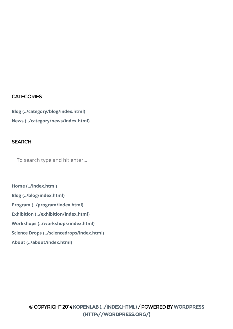## **CATEGORIES**

Blog [\(../category/blog/index.html\)](http://kopenlab.dk/kopenlab.dk/category/blog/index.html) News [\(../category/news/index.html\)](http://kopenlab.dk/kopenlab.dk/category/news/index.html)

## **SEARCH**

To search type and hit enter...

Home [\(../index.html\)](http://kopenlab.dk/kopenlab.dk/index.html) Blog [\(../blog/index.html\)](http://kopenlab.dk/kopenlab.dk/blog/index.html) Program [\(../program/index.html\)](http://kopenlab.dk/kopenlab.dk/program/index.html) Exhibition [\(../exhibition/index.html\)](http://kopenlab.dk/kopenlab.dk/exhibition/index.html) Workshops [\(../workshops/index.html\)](http://kopenlab.dk/kopenlab.dk/workshops/index.html) Science Drops [\(../sciencedrops/index.html\)](http://kopenlab.dk/kopenlab.dk/sciencedrops/index.html) About [\(../about/index.html\)](http://kopenlab.dk/kopenlab.dk/about/index.html)

> ©COPYRIGHT2014[KOPENLAB\(../INDEX.HTML\)](http://kopenlab.dk/kopenlab.dk/index.html)/POWEREDBYWORDPRESS [\(HTTP://WORDPRESS.ORG/\)](http://wordpress.org/)